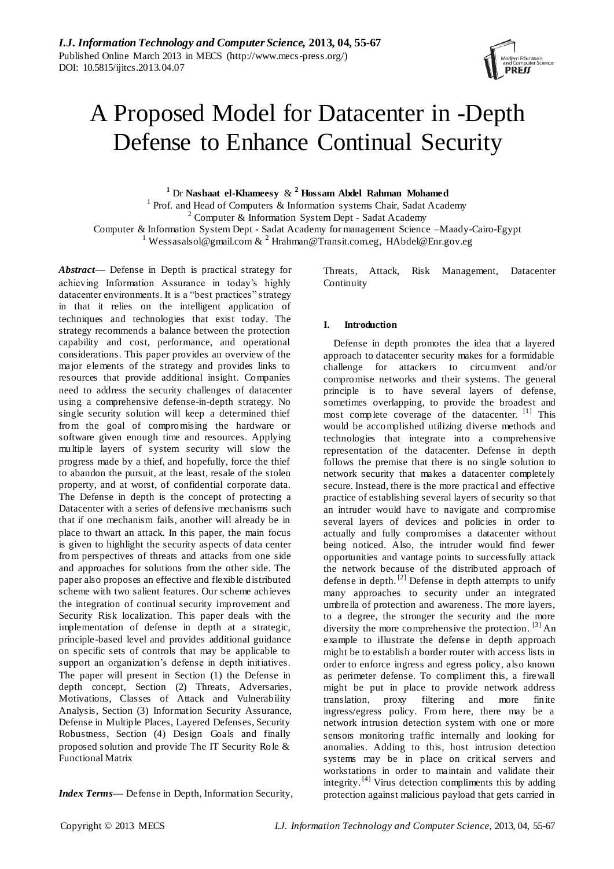# A Proposed Model for Datacenter in -Depth Defense to Enhance Continual Security

**<sup>1</sup>** Dr **Nashaat el-Khameesy** & **<sup>2</sup> Hossam Abdel Rahman Mohamed**

<sup>1</sup> Prof. and Head of Computers & Information systems Chair, Sadat Academy <sup>2</sup> Computer & Information System Dept - Sadat Academy Computer & Information System Dept - Sadat Academy for management Science –Maady-Cairo-Egypt <sup>1</sup> [Wessasalsol@gmail.com](mailto:Wessasalsol@gmail.com)  $\&$  <sup>2</sup> Hrahman@Transit.com.eg, HAbdel@Enr.gov.eg

*Abstract—* Defense in Depth is practical strategy for achieving Information Assurance in today's highly datacenter environments. It is a "best practices" strategy in that it relies on the intelligent application of techniques and technologies that exist today. The strategy recommends a balance between the protection capability and cost, performance, and operational considerations. This paper provides an overview of the major elements of the strategy and provides links to resources that provide additional insight. Companies need to address the security challenges of datacenter using a comprehensive defense-in-depth strategy. No single security solution will keep a determined thief from the goal of compromising the hardware or software given enough time and resources. Applying multiple layers of system security will slow the progress made by a thief, and hopefully, force the thief to abandon the pursuit, at the least, resale of the stolen property, and at worst, of confidential corporate data. The Defense in depth is the concept of protecting a Datacenter with a series of defensive mechanisms such that if one mechanism fails, another will already be in place to thwart an attack. In this paper, the main focus is given to highlight the security aspects of data center from perspectives of threats and attacks from one side and approaches for solutions from the other side. The paper also proposes an effective and flexible distributed scheme with two salient features. Our scheme achieves the integration of continual security improvement and Security Risk localization. This paper deals with the implementation of defense in depth at a strategic, principle-based level and provides additional guidance on specific sets of controls that may be applicable to support an organization's defense in depth initiatives. The paper will present in Section (1) the Defense in depth concept, Section (2) Threats, Adversaries, Motivations, Classes of Attack and Vulnerability Analysis, Section (3) Information Security Assurance, Defense in Multiple Places, Layered Defenses, Security Robustness, Section (4) Design Goals and finally proposed solution and provide The IT Security Role & Functional Matrix

*Index Terms—* Defense in Depth, Information Security,

Threats, Attack, Risk Management, Datacenter Continuity

# **I. Introduction**

Defense in depth promotes the idea that a layered approach to datacenter security makes for a formidable challenge for attackers to circumvent and/or compromise networks and their systems. The general principle is to have several layers of defense, sometimes overlapping, to provide the broadest and most complete coverage of the datacenter. <sup>[1]</sup> This would be accomplished utilizing diverse methods and technologies that integrate into a comprehensive representation of the datacenter. Defense in depth follows the premise that there is no single solution to network security that makes a datacenter completely secure. Instead, there is the more practical and effective practice of establishing several layers of security so that an intruder would have to navigate and compromise several layers of devices and policies in order to actually and fully compromises a datacenter without being noticed. Also, the intruder would find fewer opportunities and vantage points to successfully attack the network because of the distributed approach of defense in depth. [2] Defense in depth attempts to unify many approaches to security under an integrated umbrella of protection and awareness. The more layers, to a degree, the stronger the security and the more diversity the more comprehensive the protection. <sup>[3]</sup> An example to illustrate the defense in depth approach might be to establish a border router with access lists in order to enforce ingress and egress policy, also known as perimeter defense. To compliment this, a firewall might be put in place to provide network address translation, proxy filtering and more finite ingress/egress policy. From here, there may be a network intrusion detection system with one or more sensors monitoring traffic internally and looking for anomalies. Adding to this, host intrusion detection systems may be in place on critical servers and workstations in order to maintain and validate their integrity.  $[4]$  Virus detection compliments this by adding protection against malicious payload that gets carried in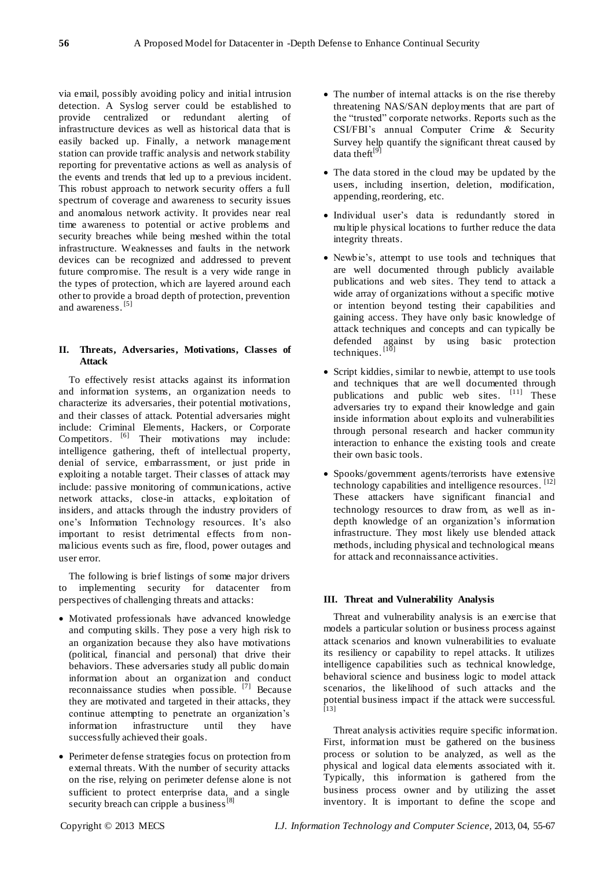via email, possibly avoiding policy and initial intrusion detection. A Syslog server could be established to provide centralized or redundant alerting of infrastructure devices as well as historical data that is easily backed up. Finally, a network management station can provide traffic analysis and network stability reporting for preventative actions as well as analysis of the events and trends that led up to a previous incident. This robust approach to network security offers a full spectrum of coverage and awareness to security issues and anomalous network activity. It provides near real time awareness to potential or active problems and security breaches while being meshed within the total infrastructure. Weaknesses and faults in the network devices can be recognized and addressed to prevent future compromise. The result is a very wide range in the types of protection, which are layered around each other to provide a broad depth of protection, prevention and awareness. [5]

# **II. Threats, Adversaries, Motivations, Classes of Attack**

To effectively resist attacks against its information and information systems, an organization needs to characterize its adversaries, their potential motivations, and their classes of attack. Potential adversaries might include: Criminal Elements, Hackers, or Corporate Competitors. <sup>[6]</sup> Their motivations may include: intelligence gathering, theft of intellectual property, denial of service, embarrassment, or just pride in exploiting a notable target. Their classes of attack may include: passive monitoring of communications, active network attacks, close-in attacks, exploitation of insiders, and attacks through the industry providers of one's Information Technology resources. It's also important to resist detrimental effects from nonmalicious events such as fire, flood, power outages and user error.

The following is brief listings of some major drivers to implementing security for datacenter from perspectives of challenging threats and attacks:

- Motivated professionals have advanced knowledge and computing skills. They pose a very high risk to an organization because they also have motivations (political, financial and personal) that drive their behaviors. These adversaries study all public domain information about an organization and conduct reconnaissance studies when possible. [7] Because they are motivated and targeted in their attacks, they continue attempting to penetrate an organization's information infrastructure until they have successfully achieved their goals.
- Perimeter defense strategies focus on protection from external threats. With the number of security attacks on the rise, relying on perimeter defense alone is not sufficient to protect enterprise data, and a single security breach can cripple a business<sup>[8]</sup>
- The number of internal attacks is on the rise thereby threatening NAS/SAN deployments that are part of the "trusted" corporate networks. Reports such as the CSI/FBI's annual Computer Crime & Security Survey help quantify the significant threat caused by data theft $^{[9]}$
- The data stored in the cloud may be updated by the users, including insertion, deletion, modification, appending, reordering, etc.
- Individual user's data is redundantly stored in multiple physical locations to further reduce the data integrity threats.
- Newbie's, attempt to use tools and techniques that are well documented through publicly available publications and web sites. They tend to attack a wide array of organizations without a specific motive or intention beyond testing their capabilities and gaining access. They have only basic knowledge of attack techniques and concepts and can typically be defended against by using basic protection techniques.<sup>[10]</sup>
- Script kiddies, similar to newbie, attempt to use tools and techniques that are well documented through publications and public web sites. [11] These adversaries try to expand their knowledge and gain inside information about exploits and vulnerabilities through personal research and hacker community interaction to enhance the existing tools and create their own basic tools.
- Spooks/government agents/terrorists have extensive technology capabilities and intelligence resources. [12] These attackers have significant financial and technology resources to draw from, as well as indepth knowledge of an organization's information infrastructure. They most likely use blended attack methods, including physical and technological means for attack and reconnaissance activities.

# **III. Threat and Vulnerability Analysis**

Threat and vulnerability analysis is an exercise that models a particular solution or business process against attack scenarios and known vulnerabilities to evaluate its resiliency or capability to repel attacks. It utilizes intelligence capabilities such as technical knowledge, behavioral science and business logic to model attack scenarios, the likelihood of such attacks and the potential business impact if the attack were successful.  $[13]$ 

Threat analysis activities require specific information. First, information must be gathered on the business process or solution to be analyzed, as well as the physical and logical data elements associated with it. Typically, this information is gathered from the business process owner and by utilizing the asset inventory. It is important to define the scope and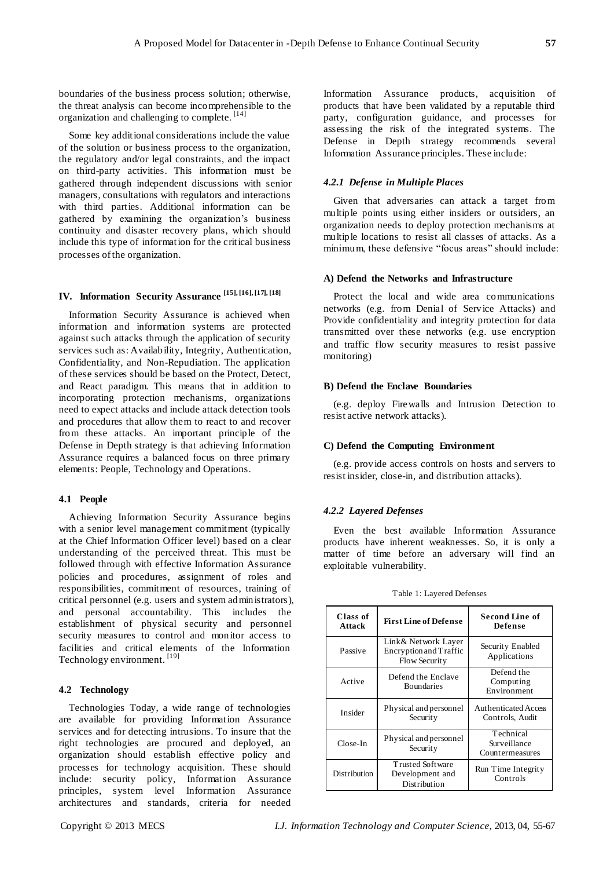boundaries of the business process solution; otherwise, the threat analysis can become incomprehensible to the organization and challenging to complete. [14]

Some key additional considerations include the value of the solution or business process to the organization, the regulatory and/or legal constraints, and the impact on third-party activities. This information must be gathered through independent discussions with senior managers, consultations with regulators and interactions with third parties. Additional information can be gathered by examining the organization's business continuity and disaster recovery plans, which should include this type of information for the critical business processes of the organization.

# **IV. Information Security Assurance [15], [16], [17], [18]**

Information Security Assurance is achieved when information and information systems are protected against such attacks through the application of security services such as: Availability, Integrity, Authentication, Confidentiality, and Non-Repudiation. The application of these services should be based on the Protect, Detect, and React paradigm. This means that in addition to incorporating protection mechanisms, organizations need to expect attacks and include attack detection tools and procedures that allow them to react to and recover from these attacks. An important principle of the Defense in Depth strategy is that achieving Information Assurance requires a balanced focus on three primary elements: People, Technology and Operations.

#### **4.1 People**

Achieving Information Security Assurance begins with a senior level management commitment (typically at the Chief Information Officer level) based on a clear understanding of the perceived threat. This must be followed through with effective Information Assurance policies and procedures, assignment of roles and responsibilities, commitment of resources, training of critical personnel (e.g. users and system administrators), and personal accountability. This includes the establishment of physical security and personnel security measures to control and monitor access to facilities and critical elements of the Information Technology environment. [19]

#### **4.2 Technology**

Technologies Today, a wide range of technologies are available for providing Information Assurance services and for detecting intrusions. To insure that the right technologies are procured and deployed, an organization should establish effective policy and processes for technology acquisition. These should include: security policy, Information Assurance principles, system level Information Assurance architectures and standards, criteria for needed Information Assurance products, acquisition of products that have been validated by a reputable third party, configuration guidance, and processes for assessing the risk of the integrated systems. The Defense in Depth strategy recommends several Information Assurance principles. These include:

#### *4.2.1 Defense in Multiple Places*

Given that adversaries can attack a target from multiple points using either insiders or outsiders, an organization needs to deploy protection mechanisms at multiple locations to resist all classes of attacks. As a minimum, these defensive "focus areas" should include:

### **A) Defend the Networks and Infrastructure**

Protect the local and wide area communications networks (e.g. from Denial of Service Attacks) and Provide confidentiality and integrity protection for data transmitted over these networks (e.g. use encryption and traffic flow security measures to resist passive monitoring)

#### **B) Defend the Enclave Boundaries**

(e.g. deploy Firewalls and Intrusion Detection to resist active network attacks).

### **C) Defend the Computing Environment**

(e.g. provide access controls on hosts and servers to resist insider, close-in, and distribution attacks).

#### *4.2.2 Layered Defenses*

Even the best available Information Assurance products have inherent weaknesses. So, it is only a matter of time before an adversary will find an exploitable vulnerability.

| Class of<br><b>Attack</b> | <b>First Line of Defense</b>                                                      | Second Line of<br><b>Defense</b>             |  |  |  |  |
|---------------------------|-----------------------------------------------------------------------------------|----------------------------------------------|--|--|--|--|
| Passive                   | Link& Network Layer<br>Encryption and Traffic<br>Flow Security                    | Security Enabled<br>Applications             |  |  |  |  |
| Active                    | Defend the<br>Defend the Enclave<br>Computing<br><b>Boundaries</b><br>Environment |                                              |  |  |  |  |
| Insider                   | Physical and personnel<br>Security                                                | Authenticated Access<br>Controls, Audit      |  |  |  |  |
| $Close-In$                | Physical and personnel<br>Security                                                | Technical<br>Surveillance<br>Countermeasures |  |  |  |  |
| <b>Distribution</b>       | Trusted Software<br>Development and<br>Distribution                               | Run Time Integrity<br>Controls               |  |  |  |  |

Table 1: Layered Defenses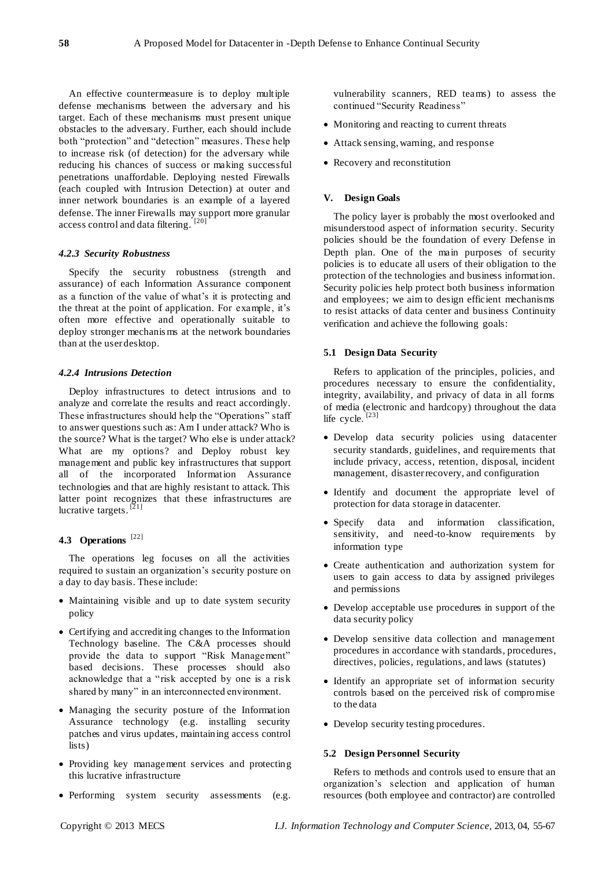An effective countermeasure is to deploy multiple defense mechanisms between the adversary and his target. Each of these mechanisms must present unique obstacles to the adversary. Further, each should include both "protection" and "detection" measures. These help to increase risk (of detection) for the adversary while reducing his chances of success or making successful penetrations unaffordable. Deploying nested Firewalls (each coupled with Intrusion Detection) at outer and inner network boundaries is an example of a layered defense. The inner Firewalls may support more granular access control and data filtering. [20]

# *4.2.3 Security Robustness*

Specify the security robustness (strength and assurance) of each Information Assurance component as a function of the value of what's it is protecting and the threat at the point of application. For example, it's often more effective and operationally suitable to deploy stronger mechanis ms at the network boundaries than at the user desktop.

# *4.2.4 Intrusions Detection*

Deploy infrastructures to detect intrusions and to analyze and correlate the results and react accordingly. These infrastructures should help the "Operations" staff to answer questions such as: Am I under attack? Who is the source? What is the target? Who else is under attack? What are my options? and Deploy robust key management and public key infrastructures that support all of the incorporated Information Assurance technologies and that are highly resistant to attack. This latter point recognizes that these infrastructures are lucrative targets.  $[21]$ 

# **4.3 Operations** [22]

The operations leg focuses on all the activities required to sustain an organization's security posture on a day to day basis. These include:

- Maintaining visible and up to date system security policy
- Certifying and accrediting changes to the Information Technology baseline. The C&A processes should provide the data to support "Risk Management" based decisions. These processes should also acknowledge that a "risk accepted by one is a ris k shared by many" in an interconnected environment.
- Managing the security posture of the Information Assurance technology (e.g. installing security patches and virus updates, maintaining access control lists)
- Providing key management services and protecting this lucrative infrastructure
- Performing system security assessments (e.g.

vulnerability scanners, RED teams) to assess the continued "Security Readiness"

- Monitoring and reacting to current threats
- Attack sensing, warning, and response
- Recovery and reconstitution

# **V. Design Goals**

The policy layer is probably the most overlooked and misunderstood aspect of information security. Security policies should be the foundation of every Defense in Depth plan. One of the main purposes of security policies is to educate all users of their obligation to the protection of the technologies and business information. Security policies help protect both business information and employees; we aim to design efficient mechanisms to resist attacks of data center and business Continuity verification and achieve the following goals:

# **5.1 Design Data Security**

Refers to application of the principles, policies, and procedures necessary to ensure the confidentiality, integrity, availability, and privacy of data in all forms of media (electronic and hardcopy) throughout the data life cycle.<sup>[23]</sup>

- Develop data security policies using datacenter security standards, guidelines, and requirements that include privacy, access, retention, disposal, incident management, disaster recovery, and configuration
- Identify and document the appropriate level of protection for data storage in datacenter.
- Specify data and information classification, sensitivity, and need-to-know requirements by information type
- Create authentication and authorization system for users to gain access to data by assigned privileges and permissions
- Develop acceptable use procedures in support of the data security policy
- Develop sensitive data collection and management procedures in accordance with standards, procedures, directives, policies, regulations, and laws (statutes)
- Identify an appropriate set of information security controls based on the perceived risk of compromise to the data
- Develop security testing procedures.

# **5.2 Design Personnel Security**

Refers to methods and controls used to ensure that an organization's selection and application of human resources (both employee and contractor) are controlled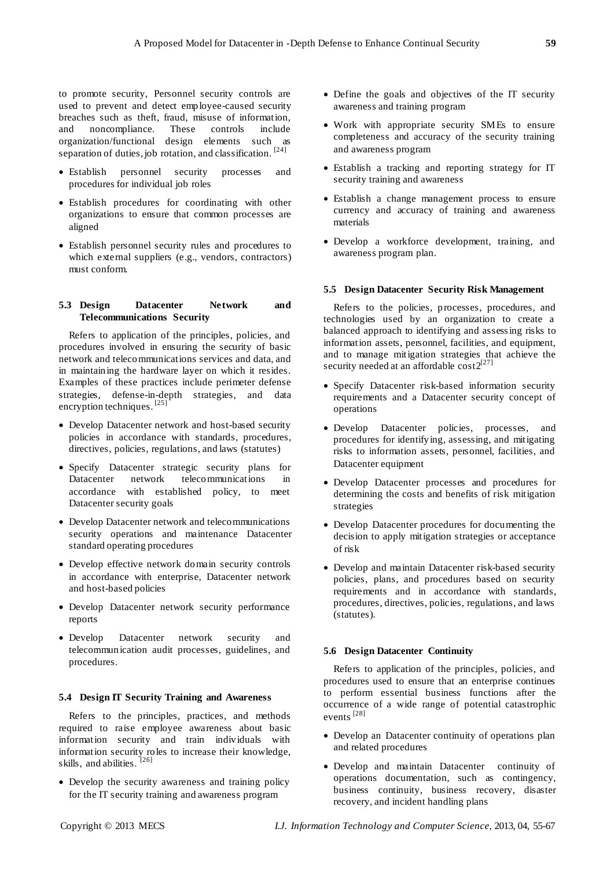to promote security, Personnel security controls are used to prevent and detect employee-caused security breaches such as theft, fraud, misuse of information, and noncompliance. These controls include organization/functional design elements such as separation of duties, job rotation, and classification. [24]

- Establish personnel security processes and procedures for individual job roles
- Establish procedures for coordinating with other organizations to ensure that common processes are aligned
- Establish personnel security rules and procedures to which external suppliers (e.g., vendors, contractors) must conform.

### **5.3 Design Datacenter Network and Telecommunications Security**

Refers to application of the principles, policies, and procedures involved in ensuring the security of basic network and telecommunications services and data, and in maintaining the hardware layer on which it resides. Examples of these practices include perimeter defense strategies, defense-in-depth strategies, and data encryption techniques. [25]

- Develop Datacenter network and host-based security policies in accordance with standards, procedures, directives, policies, regulations, and laws (statutes)
- Specify Datacenter strategic security plans for Datacenter network telecommunications in accordance with established policy, to meet Datacenter security goals
- Develop Datacenter network and telecommunications security operations and maintenance Datacenter standard operating procedures
- Develop effective network domain security controls in accordance with enterprise, Datacenter network and host-based policies
- Develop Datacenter network security performance reports
- Develop Datacenter network security and telecommunication audit processes, guidelines, and procedures.

#### **5.4 Design IT Security Training and Awareness**

Refers to the principles, practices, and methods required to raise employee awareness about basic information security and train individuals with information security roles to increase their knowledge, skills, and abilities. [26]

 Develop the security awareness and training policy for the IT security training and awareness program

- Define the goals and objectives of the IT security awareness and training program
- Work with appropriate security SMEs to ensure completeness and accuracy of the security training and awareness program
- Establish a tracking and reporting strategy for IT security training and awareness
- Establish a change management process to ensure currency and accuracy of training and awareness materials
- Develop a workforce development, training, and awareness program plan.

#### **5.5 Design Datacenter Security Risk Management**

Refers to the policies, processes, procedures, and technologies used by an organization to create a balanced approach to identifying and assessing risks to information assets, personnel, facilities, and equipment, and to manage mitigation strategies that achieve the security needed at an affordable  $cost2^{[27]}$ 

- Specify Datacenter risk-based information security requirements and a Datacenter security concept of operations
- Develop Datacenter policies, processes, and procedures for identifying, assessing, and mitigating risks to information assets, personnel, facilities, and Datacenter equipment
- Develop Datacenter processes and procedures for determining the costs and benefits of risk mitigation strategies
- Develop Datacenter procedures for documenting the decision to apply mitigation strategies or acceptance of risk
- Develop and maintain Datacenter risk-based security policies, plans, and procedures based on security requirements and in accordance with standards, procedures, directives, policies, regulations, and laws (statutes).

#### **5.6 Design Datacenter Continuity**

Refers to application of the principles, policies, and procedures used to ensure that an enterprise continues to perform essential business functions after the occurrence of a wide range of potential catastrophic events [28]

- Develop an Datacenter continuity of operations plan and related procedures
- Develop and maintain Datacenter continuity of operations documentation, such as contingency, business continuity, business recovery, disaster recovery, and incident handling plans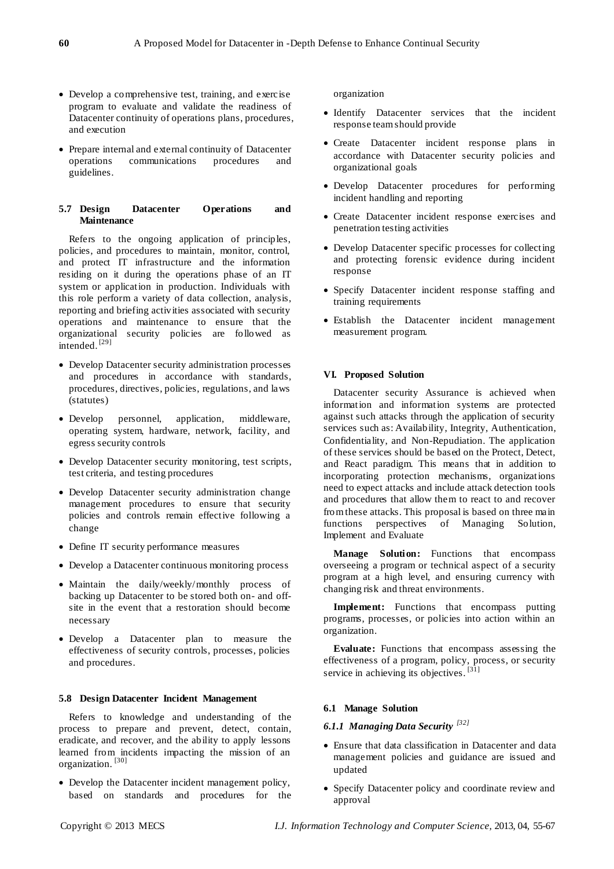- Develop a comprehensive test, training, and exercise program to evaluate and validate the readiness of Datacenter continuity of operations plans, procedures, and execution
- Prepare internal and external continuity of Datacenter operations communications procedures and guidelines.

# **5.7 Design Datacenter Operations and Maintenance**

Refers to the ongoing application of principles, policies, and procedures to maintain, monitor, control, and protect IT infrastructure and the information residing on it during the operations phase of an IT system or application in production. Individuals with this role perform a variety of data collection, analysis, reporting and briefing activities associated with security operations and maintenance to ensure that the organizational security policies are followed as intended. [29]

- Develop Datacenter security administration processes and procedures in accordance with standards, procedures, directives, policies, regulations, and laws (statutes)
- Develop personnel, application, middleware, operating system, hardware, network, facility, and egress security controls
- Develop Datacenter security monitoring, test scripts, test criteria, and testing procedures
- Develop Datacenter security administration change management procedures to ensure that security policies and controls remain effective following a change
- Define IT security performance measures
- Develop a Datacenter continuous monitoring process
- Maintain the daily/weekly/monthly process of backing up Datacenter to be stored both on- and offsite in the event that a restoration should become necessary
- Develop a Datacenter plan to measure the effectiveness of security controls, processes, policies and procedures.

#### **5.8 Design Datacenter Incident Management**

Refers to knowledge and understanding of the process to prepare and prevent, detect, contain, eradicate, and recover, and the ability to apply lessons learned from incidents impacting the mission of an organization. [30]

 Develop the Datacenter incident management policy, based on standards and procedures for the organization

- Identify Datacenter services that the incident response team should provide
- Create Datacenter incident response plans in accordance with Datacenter security policies and organizational goals
- Develop Datacenter procedures for performing incident handling and reporting
- Create Datacenter incident response exercises and penetration testing activities
- Develop Datacenter specific processes for collecting and protecting forensic evidence during incident response
- Specify Datacenter incident response staffing and training requirements
- Establish the Datacenter incident management measurement program.

#### **VI. Proposed Solution**

Datacenter security Assurance is achieved when information and information systems are protected against such attacks through the application of security services such as: Availability, Integrity, Authentication, Confidentiality, and Non-Repudiation. The application of these services should be based on the Protect, Detect, and React paradigm. This means that in addition to incorporating protection mechanisms, organizations need to expect attacks and include attack detection tools and procedures that allow them to react to and recover from these attacks. This proposal is based on three main functions perspectives of Managing Solution, Implement and Evaluate

**Manage Solution:** Functions that encompass overseeing a program or technical aspect of a security program at a high level, and ensuring currency with changing risk and threat environments.

**Implement:** Functions that encompass putting programs, processes, or policies into action within an organization.

**Evaluate:** Functions that encompass assessing the effectiveness of a program, policy, process, or security service in achieving its objectives.<sup>[31]</sup>

#### **6.1 Manage Solution**

# *6.1.1 Managing Data Security [32]*

- Ensure that data classification in Datacenter and data management policies and guidance are issued and updated
- Specify Datacenter policy and coordinate review and approval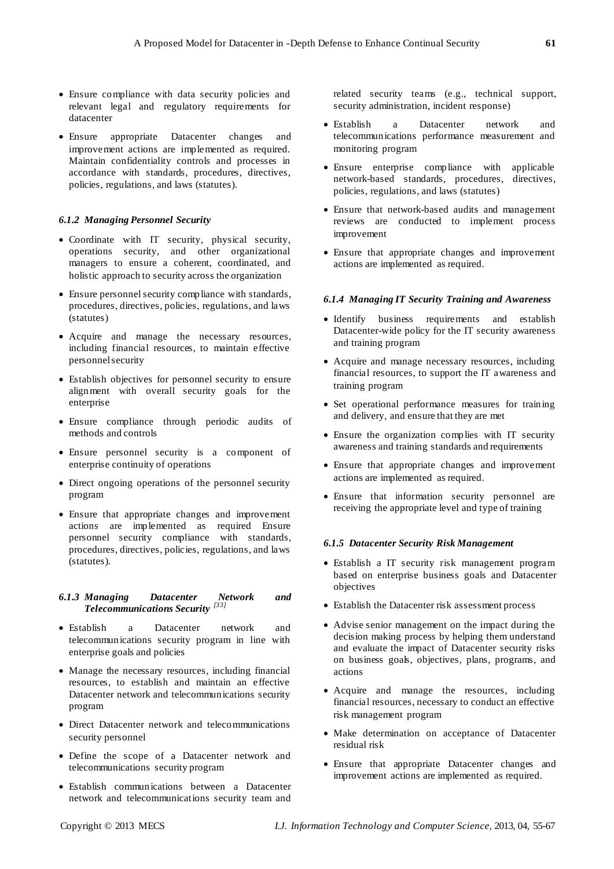- Ensure compliance with data security policies and relevant legal and regulatory requirements for datacenter
- Ensure appropriate Datacenter changes and improvement actions are implemented as required. Maintain confidentiality controls and processes in accordance with standards, procedures, directives, policies, regulations, and laws (statutes).

#### *6.1.2 Managing Personnel Security*

- Coordinate with IT security, physical security, operations security, and other organizational managers to ensure a coherent, coordinated, and holistic approach to security across the organization
- Ensure personnel security compliance with standards, procedures, directives, policies, regulations, and laws (statutes)
- Acquire and manage the necessary resources, including financial resources, to maintain effective personnel security
- Establish objectives for personnel security to ensure alignment with overall security goals for the enterprise
- Ensure compliance through periodic audits of methods and controls
- Ensure personnel security is a component of enterprise continuity of operations
- Direct ongoing operations of the personnel security program
- Ensure that appropriate changes and improvement actions are implemented as required Ensure personnel security compliance with standards, procedures, directives, policies, regulations, and laws (statutes).

### *6.1.3 Managing Datacenter Network and Telecommunications Security [33]*

- Establish a Datacenter network and telecommunications security program in line with enterprise goals and policies
- Manage the necessary resources, including financial resources, to establish and maintain an effective Datacenter network and telecommunications security program
- Direct Datacenter network and telecommunications security personnel
- Define the scope of a Datacenter network and telecommunications security program
- Establish communications between a Datacenter network and telecommunications security team and

related security teams (e.g., technical support, security administration, incident response)

- Establish a Datacenter network and telecommunications performance measurement and monitoring program
- Ensure enterprise compliance with applicable network-based standards, procedures, directives, policies, regulations, and laws (statutes)
- Ensure that network-based audits and management reviews are conducted to implement process improvement
- Ensure that appropriate changes and improvement actions are implemented as required.

# *6.1.4 Managing IT Security Training and Awareness*

- Identify business requirements and establish Datacenter-wide policy for the IT security awareness and training program
- Acquire and manage necessary resources, including financial resources, to support the IT awareness and training program
- Set operational performance measures for training and delivery, and ensure that they are met
- Ensure the organization complies with IT security awareness and training standards and requirements
- Ensure that appropriate changes and improvement actions are implemented as required.
- Ensure that information security personnel are receiving the appropriate level and type of training

#### *6.1.5 Datacenter Security Risk Management*

- Establish a IT security risk management program based on enterprise business goals and Datacenter objectives
- Establish the Datacenter risk assessment process
- Advise senior management on the impact during the decision making process by helping them understand and evaluate the impact of Datacenter security risks on business goals, objectives, plans, programs, and actions
- Acquire and manage the resources, including financial resources, necessary to conduct an effective risk management program
- Make determination on acceptance of Datacenter residual risk
- Ensure that appropriate Datacenter changes and improvement actions are implemented as required.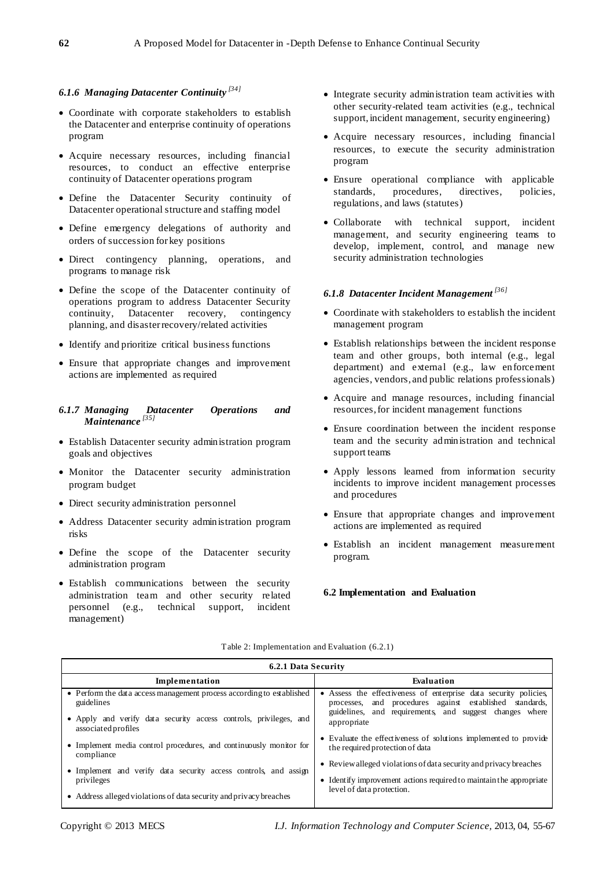# *6.1.6 Managing Datacenter Continuity [34]*

- Coordinate with corporate stakeholders to establish the Datacenter and enterprise continuity of operations program
- Acquire necessary resources, including financial resources, to conduct an effective enterprise continuity of Datacenter operations program
- Define the Datacenter Security continuity of Datacenter operational structure and staffing model
- Define emergency delegations of authority and orders of succession for key positions
- Direct contingency planning, operations, and programs to manage risk
- Define the scope of the Datacenter continuity of operations program to address Datacenter Security continuity, Datacenter recovery, contingency planning, and disaster recovery/related activities
- Identify and prioritize critical business functions
- Ensure that appropriate changes and improvement actions are implemented as required

#### *6.1.7 Managing Datacenter Operations and Maintenance [35]*

- Establish Datacenter security administration program goals and objectives
- Monitor the Datacenter security administration program budget
- Direct security administration personnel
- Address Datacenter security administration program risks
- Define the scope of the Datacenter security administration program
- Establish communications between the security administration team and other security related personnel (e.g., technical support, incident management)
- Integrate security administration team activities with other security-related team activities (e.g., technical support, incident management, security engineering)
- Acquire necessary resources, including financial resources, to execute the security administration program
- Ensure operational compliance with applicable standards, procedures, directives, policies, regulations, and laws (statutes)
- Collaborate with technical support, incident management, and security engineering teams to develop, implement, control, and manage new security administration technologies

# *6.1.8 Datacenter Incident Management [36]*

- Coordinate with stakeholders to establish the incident management program
- Establish relationships between the incident response team and other groups, both internal (e.g., legal department) and external (e.g., law enforcement agencies, vendors, and public relations professionals)
- Acquire and manage resources, including financial resources, for incident management functions
- Ensure coordination between the incident response team and the security administration and technical support teams
- Apply lessons learned from information security incidents to improve incident management processes and procedures
- Ensure that appropriate changes and improvement actions are implemented as required
- Establish an incident management measurement program.

#### **6.2 Implementation and Evaluation**

| 6.2.1 Data Security                                                                      |                                                                                                                                                                                         |  |  |  |  |  |  |  |  |
|------------------------------------------------------------------------------------------|-----------------------------------------------------------------------------------------------------------------------------------------------------------------------------------------|--|--|--|--|--|--|--|--|
| Implementation                                                                           | Evaluation                                                                                                                                                                              |  |  |  |  |  |  |  |  |
| • Perform the data access management process according to established<br>guidelines      | • Assess the effectiveness of enterprise data security policies,<br>processes, and procedures against established standards,<br>guidelines, and requirements, and suggest changes where |  |  |  |  |  |  |  |  |
| • Apply and verify data security access controls, privileges, and<br>associated profiles | appropriate                                                                                                                                                                             |  |  |  |  |  |  |  |  |
| • Implement media control procedures, and continuously monitor for<br>compliance         | • Evaluate the effectiveness of solutions implemented to provide<br>the required protection of data                                                                                     |  |  |  |  |  |  |  |  |
| • Implement and verify data security access controls, and assign                         | • Review alleged violations of data security and privacy breaches                                                                                                                       |  |  |  |  |  |  |  |  |
| privileges                                                                               | • Identify improvement actions required to maintain the appropriate                                                                                                                     |  |  |  |  |  |  |  |  |
| • Address alleged violations of data security and privacy breaches                       | level of data protection.                                                                                                                                                               |  |  |  |  |  |  |  |  |

Table 2: Implementation and Evaluation (6.2.1)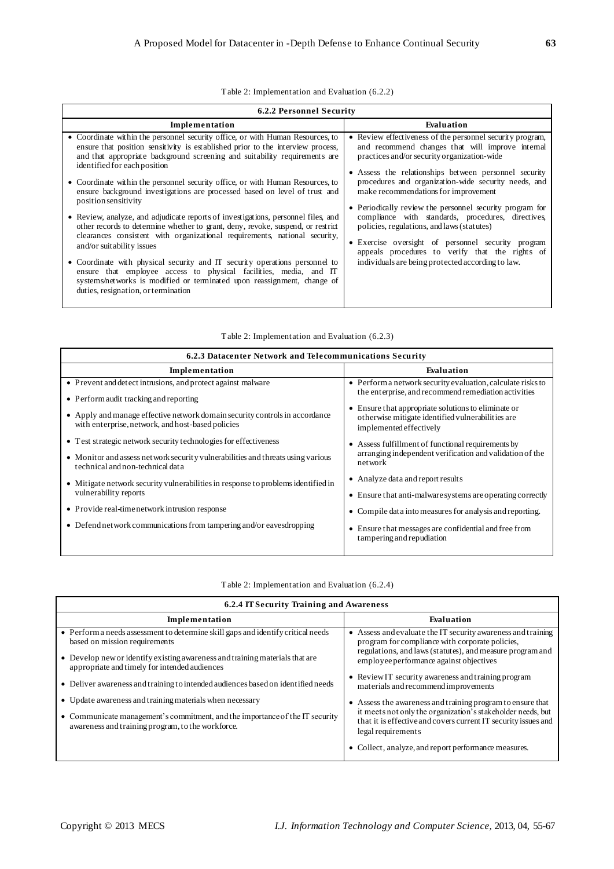| Table 2: Implementation and Evaluation (6.2.2) |  |  |
|------------------------------------------------|--|--|
|------------------------------------------------|--|--|

| <b>6.2.2 Personnel Security</b>                                                                                                                                                                                                                                                                                                                                                                                                                                                                                                                                                                                                                                                                                                                                                                                                                                                                                                                                                                                                  |                                                                                                                                                                                                                                                                                                                                                                                                                                                                                                                                                                                                                                                     |  |  |  |  |  |
|----------------------------------------------------------------------------------------------------------------------------------------------------------------------------------------------------------------------------------------------------------------------------------------------------------------------------------------------------------------------------------------------------------------------------------------------------------------------------------------------------------------------------------------------------------------------------------------------------------------------------------------------------------------------------------------------------------------------------------------------------------------------------------------------------------------------------------------------------------------------------------------------------------------------------------------------------------------------------------------------------------------------------------|-----------------------------------------------------------------------------------------------------------------------------------------------------------------------------------------------------------------------------------------------------------------------------------------------------------------------------------------------------------------------------------------------------------------------------------------------------------------------------------------------------------------------------------------------------------------------------------------------------------------------------------------------------|--|--|--|--|--|
| Implementation                                                                                                                                                                                                                                                                                                                                                                                                                                                                                                                                                                                                                                                                                                                                                                                                                                                                                                                                                                                                                   | Evaluation                                                                                                                                                                                                                                                                                                                                                                                                                                                                                                                                                                                                                                          |  |  |  |  |  |
| • Coordinate within the personnel security office, or with Human Resources, to<br>ensure that position sensitivity is established prior to the interview process,<br>and that appropriate background screening and suitability requirements are<br>identified for each position<br>• Coordinate within the personnel security office, or with Human Resources, to<br>ensure background investigations are processed based on level of trust and<br>position sensitivity<br>• Review, analyze, and adjudicate reports of investigations, personnel files, and<br>other records to determine whether to grant, deny, revoke, suspend, or restrict<br>clearances consistent with organizational requirements, national security,<br>and/or suitability issues<br>• Coordinate with physical security and IT security operations personnel to<br>ensure that employee access to physical facilities, media, and IT<br>systems/networks is modified or terminated upon reassignment, change of<br>duties, resignation, or termination | • Review effectiveness of the personnel security program,<br>and recommend changes that will improve internal<br>practices and/or security organization-wide<br>• Assess the relationships between personnel security<br>procedures and organization-wide security needs, and<br>make recommendations for improvement<br>• Periodically review the personnel security program for<br>compliance with standards, procedures, directives,<br>policies, regulations, and laws (statutes)<br>• Exercise oversight of personnel security program<br>appeals procedures to verify that the rights of<br>individuals are being protected according to law. |  |  |  |  |  |
|                                                                                                                                                                                                                                                                                                                                                                                                                                                                                                                                                                                                                                                                                                                                                                                                                                                                                                                                                                                                                                  |                                                                                                                                                                                                                                                                                                                                                                                                                                                                                                                                                                                                                                                     |  |  |  |  |  |

# Table 2: Implementation and Evaluation (6.2.3)

| 6.2.3 Datacenter Network and Telecommunications Security                                                                         |                                                                                                                                     |  |  |  |  |  |  |
|----------------------------------------------------------------------------------------------------------------------------------|-------------------------------------------------------------------------------------------------------------------------------------|--|--|--|--|--|--|
| Implementation                                                                                                                   | Evaluation                                                                                                                          |  |  |  |  |  |  |
| • Prevent and detect intrusions, and protect against malware                                                                     | • Perform a network security evaluation, calculate risks to<br>the enterprise, and recommend remediation activities                 |  |  |  |  |  |  |
| • Perform audit tracking and reporting                                                                                           |                                                                                                                                     |  |  |  |  |  |  |
| • Apply and manage effective network domain security controls in accordance<br>with enterprise, network, and host-based policies | • Ensure that appropriate solutions to eliminate or<br>otherwise mitigate identified vulnerabilities are<br>implemented effectively |  |  |  |  |  |  |
| • Test strategic network security technologies for effectiveness                                                                 | • Assess fulfillment of functional requirements by                                                                                  |  |  |  |  |  |  |
| • Monitor and assess net work security vulnerabilities and threats using various<br>technical and non-technical data             | arranging independent verification and validation of the<br>network                                                                 |  |  |  |  |  |  |
| • Mitigate network security vulnerabilities in response to problems identified in                                                | • Analyze data and report results                                                                                                   |  |  |  |  |  |  |
| vulnerability reports                                                                                                            | • Ensure that anti-malware systems are operating correctly                                                                          |  |  |  |  |  |  |
| • Provide real-time network intrusion response                                                                                   | • Compile data into measures for analysis and reporting.                                                                            |  |  |  |  |  |  |
| • Defend net work communications from tampering and/or eavesdropping                                                             | • Ensure that messages are confidential and free from<br>tampering and repudiation                                                  |  |  |  |  |  |  |
|                                                                                                                                  |                                                                                                                                     |  |  |  |  |  |  |

# Table 2: Implementation and Evaluation (6.2.4)

| <b>6.2.4 IT Security Training and Awareness</b>                                                                                                                                                                                                    |                                                                                                                                                                                                                         |  |  |  |  |  |  |  |
|----------------------------------------------------------------------------------------------------------------------------------------------------------------------------------------------------------------------------------------------------|-------------------------------------------------------------------------------------------------------------------------------------------------------------------------------------------------------------------------|--|--|--|--|--|--|--|
| Implementation                                                                                                                                                                                                                                     | Evaluation                                                                                                                                                                                                              |  |  |  |  |  |  |  |
| • Perform a needs assessment to determine skill gaps and identify critical needs<br>based on mission requirements<br>• Develop new or identify existing awareness and training materials that are<br>appropriate and timely for intended audiences | • Assess and evaluate the IT security awareness and training<br>program for compliance with corporate policies,<br>regulations, and laws (statutes), and measure program and<br>employee performance against objectives |  |  |  |  |  |  |  |
| • Deliver awareness and training to intended audiences based on identified needs                                                                                                                                                                   | • Review IT security awareness and training program<br>materials and recommend improvements                                                                                                                             |  |  |  |  |  |  |  |
| • Update awareness and training materials when necessary<br>• Communicate management's commitment, and the importance of the $IT$ security<br>awareness and training program, to the workforce.                                                    | • Assess the awareness and training program to ensure that<br>it meets not only the organization's stakeholder needs, but<br>that it is effective and covers current IT security issues and<br>legal requirements       |  |  |  |  |  |  |  |
|                                                                                                                                                                                                                                                    | • Collect, analyze, and report performance measures.                                                                                                                                                                    |  |  |  |  |  |  |  |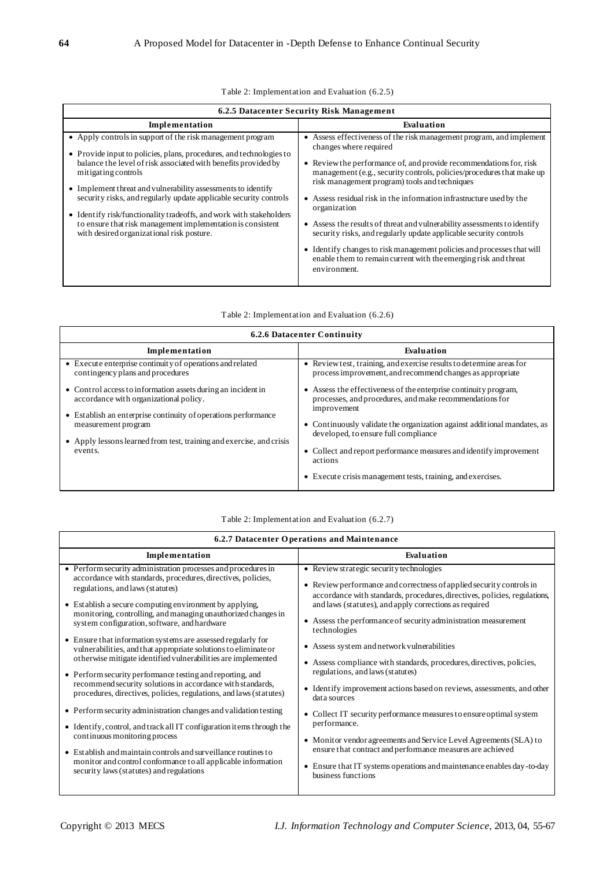| 6.2.5 Datacenter Security Risk Management                                                                                                                                                                                                                                                                                                                                                                                                                                                                                                          |                                                                                                                                                                                                                                                                                                                                                                                                                                                                                                                                                                                                                                                                                                      |  |  |  |  |  |  |  |  |
|----------------------------------------------------------------------------------------------------------------------------------------------------------------------------------------------------------------------------------------------------------------------------------------------------------------------------------------------------------------------------------------------------------------------------------------------------------------------------------------------------------------------------------------------------|------------------------------------------------------------------------------------------------------------------------------------------------------------------------------------------------------------------------------------------------------------------------------------------------------------------------------------------------------------------------------------------------------------------------------------------------------------------------------------------------------------------------------------------------------------------------------------------------------------------------------------------------------------------------------------------------------|--|--|--|--|--|--|--|--|
| Implementation                                                                                                                                                                                                                                                                                                                                                                                                                                                                                                                                     | Evaluation                                                                                                                                                                                                                                                                                                                                                                                                                                                                                                                                                                                                                                                                                           |  |  |  |  |  |  |  |  |
| • Apply controls in support of the risk management program<br>• Provide input to policies, plans, procedures, and technologies to<br>balance the level of risk associated with benefits provided by<br>mitigating controls<br>• Implement threat and vulnerability assessments to identify<br>security risks, and regularly update applicable security controls<br>• Identify risk/functionality tradeoffs, and work with stakeholders<br>to ensure that risk management implementation is consistent<br>with desired organizational risk posture. | • Assess effectiveness of the risk management program, and implement<br>changes where required<br>• Review the performance of, and provide recommendations for, risk<br>management (e.g., security controls, policies/procedures that make up<br>risk management program) tools and techniques<br>• Assess residual risk in the information infrastructure used by the<br>organization<br>• Assess the results of threat and vulnerability assessments to identify<br>security risks, and regularly update applicable security controls<br>• Identify changes to risk management policies and processes that will<br>enable them to remain current with the emerging risk and threat<br>environment. |  |  |  |  |  |  |  |  |

#### Table 2: Implementation and Evaluation (6.2.5)

# Table 2: Implementation and Evaluation (6.2.6)

| <b>6.2.6 Datacenter Continuity</b>                                                                                                                                       |                                                                                                                                            |  |  |  |  |  |  |  |
|--------------------------------------------------------------------------------------------------------------------------------------------------------------------------|--------------------------------------------------------------------------------------------------------------------------------------------|--|--|--|--|--|--|--|
| Implementation                                                                                                                                                           | Evaluation                                                                                                                                 |  |  |  |  |  |  |  |
| • Execute enterprise continuity of operations and related<br>contingency plans and procedures                                                                            | • Reviewtest, training, and exercise results to determine areas for<br>process improvement, and recommend changes as appropriate           |  |  |  |  |  |  |  |
| • Control access to information assets during an incident in<br>accordance with organizational policy.<br>• Establish an enterprise continuity of operations performance | • Assess the effectiveness of the enterprise continuity program,<br>processes, and procedures, and make recommendations for<br>improvement |  |  |  |  |  |  |  |
| measurement program<br>• Apply lessons learned from test, training and exercise, and crisis                                                                              | • Continuously validate the organization against additional mandates, as<br>developed, to ensure full compliance                           |  |  |  |  |  |  |  |
| events.                                                                                                                                                                  | • Collect and report performance measures and identify improvement<br>actions                                                              |  |  |  |  |  |  |  |
|                                                                                                                                                                          | • Execute crisis management tests, training, and exercises.                                                                                |  |  |  |  |  |  |  |

| 6.2.7 Datacenter Operations and Maintenance                                                                                                                                                                                                                                                                                                                                                                                                                                                                                                                                                                                                                                                                                                                                                                                                                                                                                                                                                                                                                                                                     |                                                                                                                                                                                                                                                                                                                                                                                                                                                                                                                                                                                                                                                                                                                                                                                                                                                                                                                             |  |  |  |  |  |  |  |
|-----------------------------------------------------------------------------------------------------------------------------------------------------------------------------------------------------------------------------------------------------------------------------------------------------------------------------------------------------------------------------------------------------------------------------------------------------------------------------------------------------------------------------------------------------------------------------------------------------------------------------------------------------------------------------------------------------------------------------------------------------------------------------------------------------------------------------------------------------------------------------------------------------------------------------------------------------------------------------------------------------------------------------------------------------------------------------------------------------------------|-----------------------------------------------------------------------------------------------------------------------------------------------------------------------------------------------------------------------------------------------------------------------------------------------------------------------------------------------------------------------------------------------------------------------------------------------------------------------------------------------------------------------------------------------------------------------------------------------------------------------------------------------------------------------------------------------------------------------------------------------------------------------------------------------------------------------------------------------------------------------------------------------------------------------------|--|--|--|--|--|--|--|
| Implementation                                                                                                                                                                                                                                                                                                                                                                                                                                                                                                                                                                                                                                                                                                                                                                                                                                                                                                                                                                                                                                                                                                  | Evaluation                                                                                                                                                                                                                                                                                                                                                                                                                                                                                                                                                                                                                                                                                                                                                                                                                                                                                                                  |  |  |  |  |  |  |  |
| • Perform security administration processes and procedures in<br>accordance with standards, procedures, directives, policies,<br>regulations, and laws (statutes)<br>• Establish a secure computing environment by applying,<br>monitoring, controlling, and managing unauthorized changes in<br>system configuration, software, and hardware<br>• Ensure that information systems are assessed regularly for<br>vulnerabilities, and that appropriate solutions to eliminate or<br>otherwise mitigate identified vulnerabilities are implemented<br>• Perform security performance testing and reporting, and<br>recommend security solutions in accordance with standards,<br>procedures, directives, policies, regulations, and laws (statutes)<br>• Perform security administration changes and validation testing<br>• Identify, control, and track all IT configuration items through the<br>continuous monitoring process<br>• Establish and maintain controls and surveillance routines to<br>monitor and control conformance to all applicable information<br>security laws (statutes) and regulations | • Review strategic security technologies<br>• Review performance and correctness of applied security controls in<br>accordance with standards, procedures, directives, policies, regulations,<br>and laws (statutes), and apply corrections as required<br>• Assess the performance of security administration measurement<br>technologies<br>• Assess system and network vulnerabilities<br>• Assess compliance with standards, procedures, directives, policies,<br>regulations, and laws (statutes)<br>• Identify improvement actions based on reviews, assessments, and other<br>data sources<br>• Collect IT security performance measures to ensure optimal system<br>performance.<br>• Monitor vendor agreements and Service Level Agreements (SLA) to<br>ensure that contract and performance measures are achieved<br>• Ensure that IT systems operations and maintenance enables day-to-day<br>business functions |  |  |  |  |  |  |  |
|                                                                                                                                                                                                                                                                                                                                                                                                                                                                                                                                                                                                                                                                                                                                                                                                                                                                                                                                                                                                                                                                                                                 |                                                                                                                                                                                                                                                                                                                                                                                                                                                                                                                                                                                                                                                                                                                                                                                                                                                                                                                             |  |  |  |  |  |  |  |

# Table 2: Implementation and Evaluation (6.2.7)

┑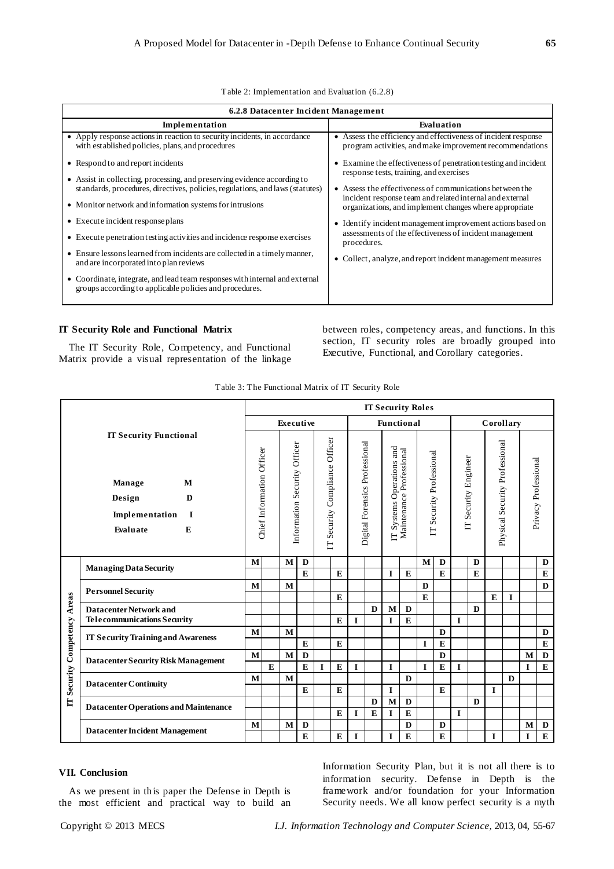Table 2: Implementation and Evaluation (6.2.8)

| 6.2.8 Datacenter Incident Management                                                                                                      |                                                                                                                                                                                |  |  |  |  |  |  |
|-------------------------------------------------------------------------------------------------------------------------------------------|--------------------------------------------------------------------------------------------------------------------------------------------------------------------------------|--|--|--|--|--|--|
| Implementation                                                                                                                            | Evaluation                                                                                                                                                                     |  |  |  |  |  |  |
| • Apply response actions in reaction to security incidents, in accordance<br>with established policies, plans, and procedures             | • Assess the efficiency and effectiveness of incident response<br>program activities, and make improvement recommendations                                                     |  |  |  |  |  |  |
| • Respond to and report incidents<br>• Assist in collecting, processing, and preserving evidence according to                             | • Examine the effectiveness of penetration testing and incident<br>response tests, training, and exercises                                                                     |  |  |  |  |  |  |
| standards, procedures, directives, policies, regulations, and laws (statutes)<br>• Monitor network and information systems for intrusions | • Assess the effectiveness of communications between the<br>incident response team and related internal and external<br>organizations, and implement changes where appropriate |  |  |  |  |  |  |
| • Execute incident response plans<br>• Execute penetration testing activities and incidence response exercises                            | • Identify incident management improvement actions based on<br>assessments of the effectiveness of incident management<br>procedures.                                          |  |  |  |  |  |  |
| • Ensure lessons learned from incidents are collected in a timely manner,<br>and are incorporated into plan reviews                       | • Collect, analyze, and report incident management measures                                                                                                                    |  |  |  |  |  |  |
| • Coordinate, integrate, and lead team responses with internal and external<br>groups according to applicable policies and procedures.    |                                                                                                                                                                                |  |  |  |  |  |  |

#### **IT Security Role and Functional Matrix**

The IT Security Role, Competency, and Functional Matrix provide a visual representation of the linkage between roles, competency areas, and functions. In this section, IT security roles are broadly grouped into Executive, Functional, and Corollary categories.

| Table 3: The Functional Matrix of IT Security Role |
|----------------------------------------------------|
|----------------------------------------------------|

| <b>IT Security Functional</b>     |                                                                    | <b>IT Security Roles</b> |                           |                  |             |   |                    |                                |   |                           |                          |   |                          |   |                      |                                |             |                      |              |
|-----------------------------------|--------------------------------------------------------------------|--------------------------|---------------------------|------------------|-------------|---|--------------------|--------------------------------|---|---------------------------|--------------------------|---|--------------------------|---|----------------------|--------------------------------|-------------|----------------------|--------------|
|                                   |                                                                    | Executive                |                           |                  |             |   |                    | <b>Functional</b>              |   |                           |                          |   |                          |   | Corollary            |                                |             |                      |              |
|                                   |                                                                    |                          |                           | Security Officer |             |   | Compliance Officer |                                |   | IT Systems Operations and | Maintenance Professional |   | IT Security Professional |   | IT Security Engineer |                                |             |                      |              |
|                                   | M<br><b>Manage</b>                                                 |                          |                           |                  |             |   |                    |                                |   |                           |                          |   |                          |   |                      |                                |             |                      |              |
|                                   | Design<br>D                                                        |                          |                           |                  |             |   |                    |                                |   |                           |                          |   |                          |   |                      |                                |             |                      |              |
|                                   | Implementation<br>$\mathbf I$                                      |                          |                           |                  |             |   |                    |                                |   |                           |                          |   |                          |   |                      |                                |             | Privacy Professional |              |
| Evaluate<br>E                     |                                                                    |                          | Chief Information Officer |                  | Information |   | Security<br>$\Box$ | Digital Forensics Professional |   |                           |                          |   |                          |   |                      | Physical Security Professional |             |                      |              |
|                                   | <b>Managing Data Security</b>                                      | M                        |                           | M                | D           |   |                    |                                |   |                           |                          | M | D                        |   | D                    |                                |             |                      | $\mathbf D$  |
|                                   |                                                                    |                          |                           |                  | E           |   | E                  |                                |   | I                         | E                        |   | E                        |   | E                    |                                |             |                      | E            |
|                                   | <b>Personnel Security</b>                                          | M                        |                           | M                |             |   |                    |                                |   |                           |                          | D |                          |   |                      |                                |             |                      | D            |
| Areas                             |                                                                    |                          |                           |                  |             |   | E                  |                                | D |                           |                          | E |                          |   | D                    | E                              | $\mathbf I$ |                      |              |
|                                   | <b>DatacenterNetwork and</b><br><b>Telecommunications Security</b> |                          |                           |                  |             |   | E                  | I                              |   | M<br>$\mathbf{I}$         | D<br>E                   |   |                          | I |                      |                                |             |                      |              |
|                                   |                                                                    | M                        |                           | M                |             |   |                    |                                |   |                           |                          |   | D                        |   |                      |                                |             |                      | D            |
| Competency                        | <b>IT Security Training and Awareness</b>                          |                          |                           |                  | E           |   | E                  |                                |   |                           |                          | I | E                        |   |                      |                                |             |                      | E            |
|                                   |                                                                    | M                        |                           | M                | D           |   |                    |                                |   |                           |                          |   | D                        |   |                      |                                |             | M                    | $\mathbf{D}$ |
|                                   | Datacenter Security Risk Management                                |                          | E                         |                  | E           | I | E                  | I                              |   | $\mathbf{I}$              |                          | I | $\bf{E}$                 | I |                      |                                |             | $\mathbf I$          | ${\bf E}$    |
| Security<br>Datacenter Continuity | M                                                                  |                          | M                         |                  |             |   |                    |                                |   | D                         |                          |   |                          |   |                      | D                              |             |                      |              |
|                                   |                                                                    |                          |                           |                  | E           |   | E                  |                                |   | $\mathbf I$               |                          |   | E                        |   |                      | $\mathbf I$                    |             |                      |              |
| E                                 | <b>Datacenter Operations and Maintenance</b>                       |                          |                           |                  |             |   |                    |                                | D | M                         | D                        |   |                          |   | D                    |                                |             |                      |              |
|                                   |                                                                    | M                        |                           | M                | D           |   | E                  | I                              | E | I                         | E<br>D                   |   | D                        | I |                      |                                |             | M                    | $\mathbf{D}$ |
|                                   | <b>Datacenter Incident Management</b>                              |                          |                           |                  | E           |   | E                  | I                              |   | I                         | E                        |   | E                        |   |                      | $\mathbf I$                    |             | $\mathbf I$          | $\bf{E}$     |

#### **VII. Conclusion**

As we present in this paper the Defense in Depth is the most efficient and practical way to build an

Information Security Plan, but it is not all there is to information security. Defense in Depth is the framework and/or foundation for your Information Security needs. We all know perfect security is a myth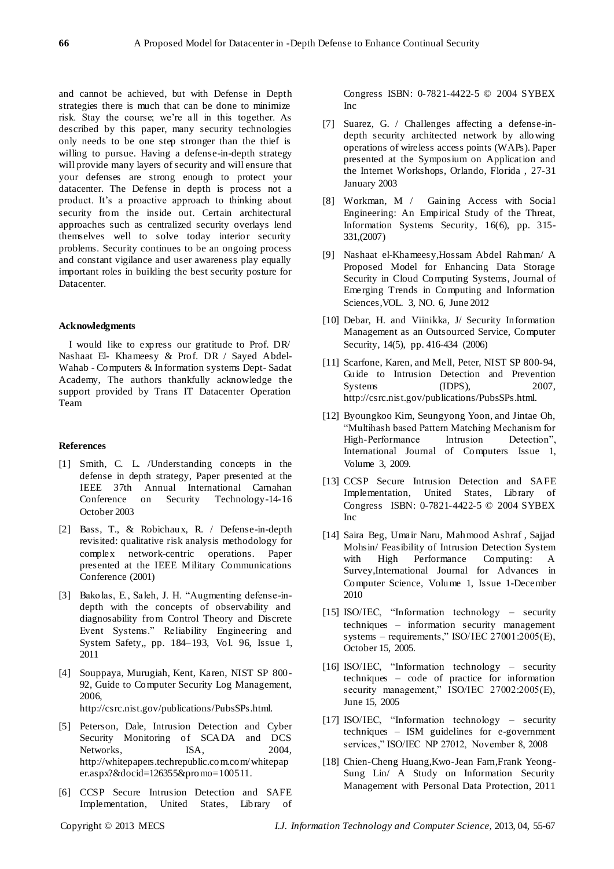and cannot be achieved, but with Defense in Depth strategies there is much that can be done to minimize risk. Stay the course; we're all in this together. As described by this paper, many security technologies only needs to be one step stronger than the thief is willing to pursue. Having a defense-in-depth strategy will provide many layers of security and will ensure that your defenses are strong enough to protect your datacenter. The Defense in depth is process not a product. It's a proactive approach to thinking about security from the inside out. Certain architectural approaches such as centralized security overlays lend themselves well to solve today interior security problems. Security continues to be an ongoing process and constant vigilance and user awareness play equally important roles in building the best security posture for Datacenter.

#### **Acknowledgments**

I would like to express our gratitude to Prof. DR/ Nashaat El- Khameesy & Prof. DR / Sayed Abdel-Wahab - Computers & Information systems Dept- Sadat Academy, The authors thankfully acknowledge the support provided by Trans IT Datacenter Operation Team

#### **References**

- [1] Smith, C. L. /Understanding concepts in the defense in depth strategy, Paper presented at the IEEE 37th Annual International Carnahan Conference on Security Technology-14-16 October 2003
- [2] Bass, T., & Robichaux, R. / Defense-in-depth revisited: qualitative risk analysis methodology for complex network-centric operations. Paper presented at the IEEE Military Communications Conference (2001)
- [3] Bakolas, E., Saleh, J. H. "Augmenting defense-indepth with the concepts of observability and diagnosability from Control Theory and Discrete Event Systems." Reliability Engineering and System Safety,, pp. 184–193, Vol. 96, Issue 1, 2011
- [4] Souppaya, Murugiah, Kent, Karen, NIST SP 800- 92, Guide to Computer Security Log Management, 2006,

http://csrc.nist.gov/publications/PubsSPs.html.

- [5] Peterson, Dale, Intrusion Detection and Cyber Security Monitoring of SCADA and DCS Networks, ISA, 2004, http://whitepapers.techrepublic.com.com/whitepap er.aspx?&docid=126355&promo=100511.
- [6] CCSP Secure Intrusion Detection and SAFE Implementation, United States, Library of

Congress ISBN: 0-7821-4422-5 © 2004 SYBEX Inc

- [7] Suarez, G. / Challenges affecting a defense-indepth security architected network by allowing operations of wireless access points (WAPs). Paper presented at the Symposium on Application and the Internet Workshops, Orlando, Florida , 27-31 January 2003
- [8] Workman, M / Gaining Access with Social Engineering: An Empirical Study of the Threat, Information Systems Security, 16(6), pp. 315- 331,(2007)
- [9] Nashaat el-Khameesy,Hossam Abdel Rahman/ A Proposed Model for Enhancing Data Storage Security in Cloud Computing Systems, Journal of Emerging Trends in Computing and Information Sciences,VOL. 3, NO. 6, June 2012
- [10] Debar, H. and Viinikka, J/ Security Information Management as an Outsourced Service, Computer Security, 14(5), pp. 416-434 (2006)
- [11] Scarfone, Karen, and Mell, Peter, NIST SP 800-94, Guide to Intrusion Detection and Prevention Systems (IDPS), 2007, http://csrc.nist.gov/publications/PubsSPs.html.
- [12] Byoungkoo Kim, Seungyong Yoon, and Jintae Oh, "Multihash based Pattern Matching Mechanism for High-Performance Intrusion Detection". High-Performance Intrusion International Journal of Computers Issue 1, Volume 3, 2009.
- [13] CCSP Secure Intrusion Detection and SAFE Implementation, United States, Library of Congress ISBN: 0-7821-4422-5 © 2004 SYBEX Inc
- [14] Saira Beg, Umair Naru, Mahmood Ashraf , Sajjad Mohsin/ Feasibility of Intrusion Detection System with High Performance Computing: A Survey,International Journal for Advances in Computer Science, Volume 1, Issue 1-December 2010
- [15] ISO/IEC, "Information technology security techniques – information security management systems – requirements," ISO/IEC 27001:2005(E), October 15, 2005.
- [16] ISO/IEC, "Information technology security techniques – code of practice for information security management," ISO/IEC 27002:2005(E), June 15, 2005
- [17] ISO/IEC, "Information technology security techniques – ISM guidelines for e-government services," ISO/IEC NP 27012, November 8, 2008
- [18] Chien-Cheng Huang,Kwo-Jean Farn,Frank Yeong-Sung Lin/ A Study on Information Security Management with Personal Data Protection, 2011